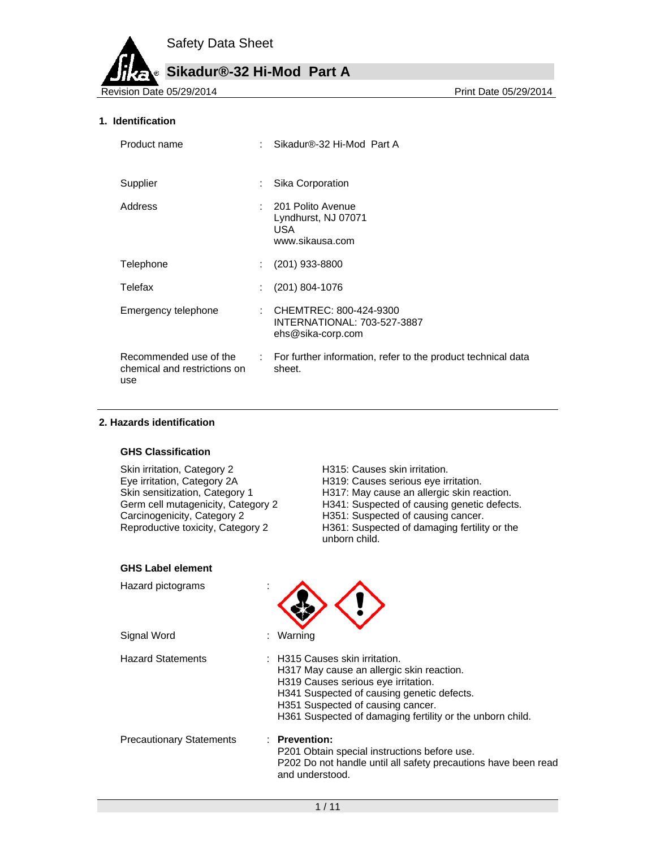# **Sikadur®-32 Hi-Mod Part A**

Revision Date 05/29/2014

#### **1. Identification**

| Product name                                                  | Sikadur®-32 Hi-Mod Part A                                                    |
|---------------------------------------------------------------|------------------------------------------------------------------------------|
| Supplier                                                      | Sika Corporation                                                             |
| Address                                                       | 201 Polito Avenue<br>Lyndhurst, NJ 07071<br>USA.<br>www.sikausa.com          |
| Telephone                                                     | $(201)$ 933-8800                                                             |
| Telefax                                                       | $(201)$ 804-1076                                                             |
| Emergency telephone                                           | : CHEMTREC: 800-424-9300<br>INTERNATIONAL: 703-527-3887<br>ehs@sika-corp.com |
| Recommended use of the<br>chemical and restrictions on<br>use | : For further information, refer to the product technical data<br>sheet.     |

#### **2. Hazards identification**

#### **GHS Classification**

| Skin irritation, Category 2        |
|------------------------------------|
| Eye irritation, Category 2A        |
| Skin sensitization, Category 1     |
| Germ cell mutagenicity, Category 2 |
| Carcinogenicity, Category 2        |
| Reproductive toxicity, Category 2  |

H315: Causes skin irritation. H319: Causes serious eye irritation. H317: May cause an allergic skin reaction. H341: Suspected of causing genetic defects. H351: Suspected of causing cancer. H361: Suspected of damaging fertility or the unborn child.

#### **GHS Label element**

| Hazard pictograms               |                                                                                                                                                                                                                                                                        |
|---------------------------------|------------------------------------------------------------------------------------------------------------------------------------------------------------------------------------------------------------------------------------------------------------------------|
| Signal Word                     | : Warning                                                                                                                                                                                                                                                              |
| <b>Hazard Statements</b>        | $\pm$ H315 Causes skin irritation.<br>H317 May cause an allergic skin reaction.<br>H319 Causes serious eye irritation.<br>H341 Suspected of causing genetic defects.<br>H351 Suspected of causing cancer.<br>H361 Suspected of damaging fertility or the unborn child. |
| <b>Precautionary Statements</b> | : Prevention:<br>P201 Obtain special instructions before use.<br>P202 Do not handle until all safety precautions have been read<br>and understood.                                                                                                                     |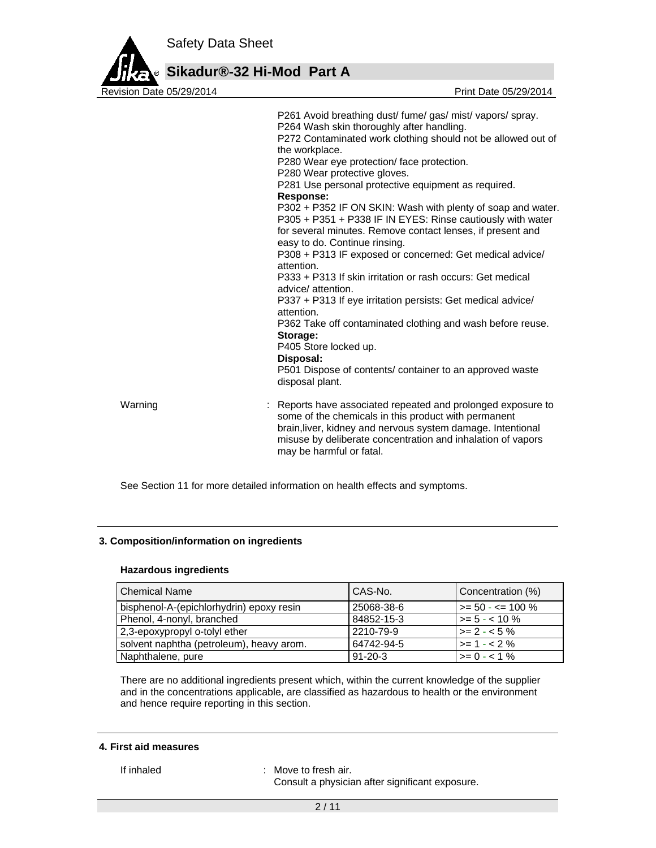

# **Sikadur®-32 Hi-Mod Part A**

P261 Avoid breathing dust/ fume/ gas/ mist/ vapors/ spray. P264 Wash skin thoroughly after handling. P272 Contaminated work clothing should not be allowed out of the workplace. P280 Wear eye protection/ face protection. P280 Wear protective gloves. P281 Use personal protective equipment as required. **Response:**  P302 + P352 IF ON SKIN: Wash with plenty of soap and water. P305 + P351 + P338 IF IN EYES: Rinse cautiously with water for several minutes. Remove contact lenses, if present and easy to do. Continue rinsing. P308 + P313 IF exposed or concerned: Get medical advice/ attention. P333 + P313 If skin irritation or rash occurs: Get medical advice/ attention. P337 + P313 If eye irritation persists: Get medical advice/ attention. P362 Take off contaminated clothing and wash before reuse. **Storage:**  P405 Store locked up. **Disposal:**  P501 Dispose of contents/ container to an approved waste disposal plant. Warning **Example 20 Starts 1 and 20 Starts 1 and 2** : Reports have associated repeated and prolonged exposure to some of the chemicals in this product with permanent brain,liver, kidney and nervous system damage. Intentional misuse by deliberate concentration and inhalation of vapors may be harmful or fatal.

See Section 11 for more detailed information on health effects and symptoms.

#### **3. Composition/information on ingredients**

#### **Hazardous ingredients**

| <b>Chemical Name</b>                     | CAS-No.       | Concentration (%)        |
|------------------------------------------|---------------|--------------------------|
| bisphenol-A-(epichlorhydrin) epoxy resin | 25068-38-6    | $\ge$ = 50 - $\le$ 100 % |
| Phenol, 4-nonyl, branched                | 84852-15-3    | $\vert$ >= 5 - < 10 %    |
| 2,3-epoxypropyl o-tolyl ether            | 2210-79-9     | $>= 2 - 5\%$             |
| solvent naphtha (petroleum), heavy arom. | 64742-94-5    | $>= 1 - 2%$              |
| Naphthalene, pure                        | $91 - 20 - 3$ | $\vert$ >= 0 - < 1 %     |

There are no additional ingredients present which, within the current knowledge of the supplier and in the concentrations applicable, are classified as hazardous to health or the environment and hence require reporting in this section.

#### **4. First aid measures**

If inhaled : Move to fresh air.

Consult a physician after significant exposure.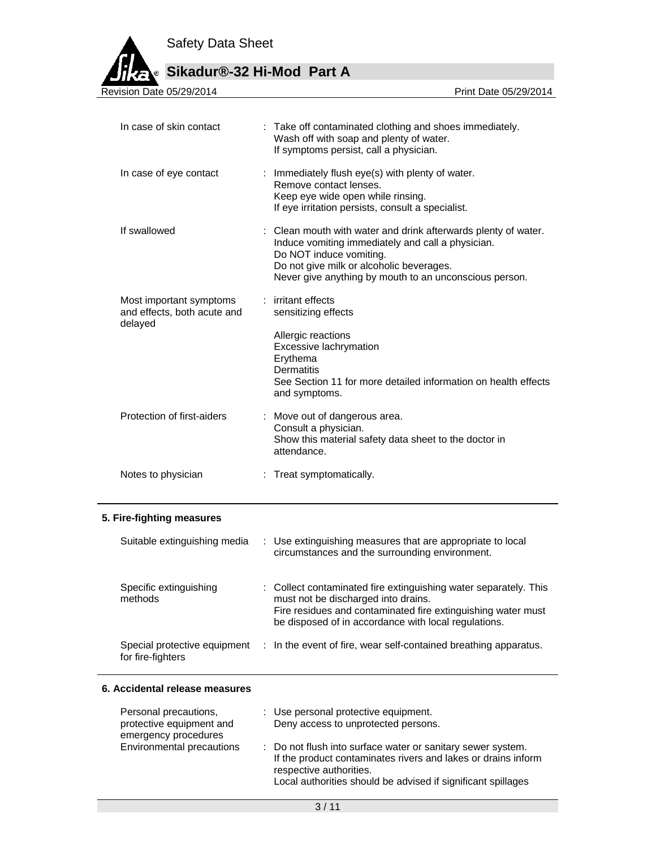**Sikadur®-32 Hi-Mod Part A**

Revision Date 05/29/2014

| In case of skin contact                                           | : Take off contaminated clothing and shoes immediately.<br>Wash off with soap and plenty of water.<br>If symptoms persist, call a physician.                                                                                                         |
|-------------------------------------------------------------------|------------------------------------------------------------------------------------------------------------------------------------------------------------------------------------------------------------------------------------------------------|
| In case of eye contact                                            | : Immediately flush eye(s) with plenty of water.<br>Remove contact lenses.<br>Keep eye wide open while rinsing.<br>If eye irritation persists, consult a specialist.                                                                                 |
| If swallowed                                                      | : Clean mouth with water and drink afterwards plenty of water.<br>Induce vomiting immediately and call a physician.<br>Do NOT induce vomiting.<br>Do not give milk or alcoholic beverages.<br>Never give anything by mouth to an unconscious person. |
| Most important symptoms<br>and effects, both acute and<br>delayed | : irritant effects<br>sensitizing effects<br>Allergic reactions<br>Excessive lachrymation<br>Erythema<br><b>Dermatitis</b><br>See Section 11 for more detailed information on health effects<br>and symptoms.                                        |
| Protection of first-aiders                                        | : Move out of dangerous area.<br>Consult a physician.<br>Show this material safety data sheet to the doctor in<br>attendance.                                                                                                                        |
| Notes to physician                                                | Treat symptomatically.                                                                                                                                                                                                                               |

#### **5. Fire-fighting measures**

| Suitable extinguishing media                      | : Use extinguishing measures that are appropriate to local<br>circumstances and the surrounding environment.                                                                                                                    |
|---------------------------------------------------|---------------------------------------------------------------------------------------------------------------------------------------------------------------------------------------------------------------------------------|
| Specific extinguishing<br>methods                 | : Collect contaminated fire extinguishing water separately. This<br>must not be discharged into drains.<br>Fire residues and contaminated fire extinguishing water must<br>be disposed of in accordance with local regulations. |
| Special protective equipment<br>for fire-fighters | : In the event of fire, wear self-contained breathing apparatus.                                                                                                                                                                |

#### **6. Accidental release measures**

| Personal precautions,<br>protective equipment and<br>emergency procedures | : Use personal protective equipment.<br>Deny access to unprotected persons.                                                                                                                                             |  |
|---------------------------------------------------------------------------|-------------------------------------------------------------------------------------------------------------------------------------------------------------------------------------------------------------------------|--|
| Environmental precautions                                                 | : Do not flush into surface water or sanitary sewer system.<br>If the product contaminates rivers and lakes or drains inform<br>respective authorities.<br>Local authorities should be advised if significant spillages |  |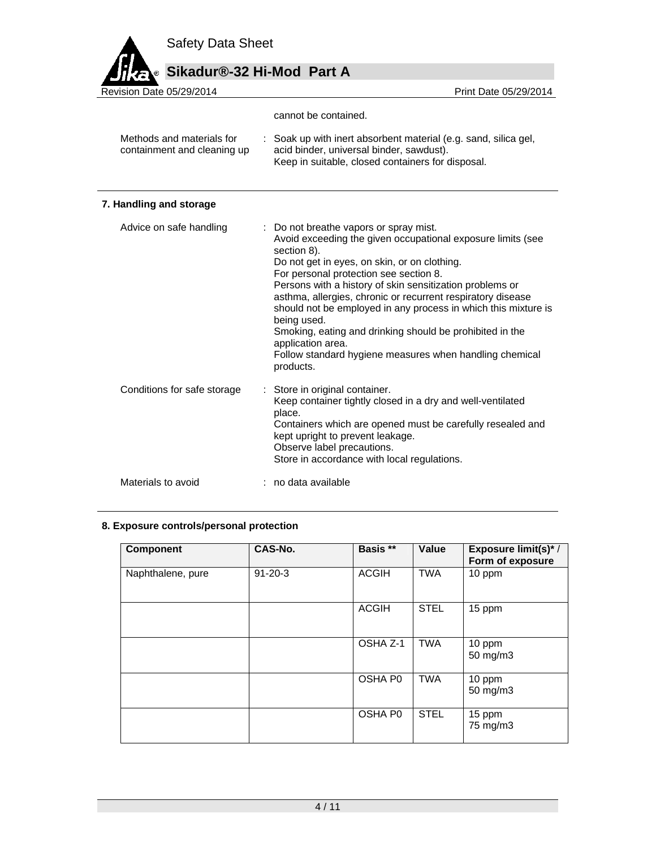# Sikadur®-32 Hi-Mod Part A

| Revision Date 05/29/2014                                 | Print Date 05/29/2014                                                                                                                                                                                                                                                                                                                                                                                                                                                                                                                                                             |
|----------------------------------------------------------|-----------------------------------------------------------------------------------------------------------------------------------------------------------------------------------------------------------------------------------------------------------------------------------------------------------------------------------------------------------------------------------------------------------------------------------------------------------------------------------------------------------------------------------------------------------------------------------|
|                                                          | cannot be contained.                                                                                                                                                                                                                                                                                                                                                                                                                                                                                                                                                              |
| Methods and materials for<br>containment and cleaning up | Soak up with inert absorbent material (e.g. sand, silica gel,<br>acid binder, universal binder, sawdust).<br>Keep in suitable, closed containers for disposal.                                                                                                                                                                                                                                                                                                                                                                                                                    |
| 7. Handling and storage                                  |                                                                                                                                                                                                                                                                                                                                                                                                                                                                                                                                                                                   |
| Advice on safe handling                                  | Do not breathe vapors or spray mist.<br>Avoid exceeding the given occupational exposure limits (see<br>section 8).<br>Do not get in eyes, on skin, or on clothing.<br>For personal protection see section 8.<br>Persons with a history of skin sensitization problems or<br>asthma, allergies, chronic or recurrent respiratory disease<br>should not be employed in any process in which this mixture is<br>being used.<br>Smoking, eating and drinking should be prohibited in the<br>application area.<br>Follow standard hygiene measures when handling chemical<br>products. |
| Conditions for safe storage                              | Store in original container.<br>Keep container tightly closed in a dry and well-ventilated<br>place.<br>Containers which are opened must be carefully resealed and<br>kept upright to prevent leakage.<br>Observe label precautions.<br>Store in accordance with local regulations.                                                                                                                                                                                                                                                                                               |
| Materials to avoid                                       | no data available                                                                                                                                                                                                                                                                                                                                                                                                                                                                                                                                                                 |

# **8. Exposure controls/personal protection**

| <b>Component</b>  | CAS-No.       | Basis **     | Value       | Exposure limit(s)* /<br>Form of exposure |
|-------------------|---------------|--------------|-------------|------------------------------------------|
| Naphthalene, pure | $91 - 20 - 3$ | <b>ACGIH</b> | <b>TWA</b>  | 10 ppm                                   |
|                   |               | <b>ACGIH</b> | <b>STEL</b> | 15 ppm                                   |
|                   |               | OSHA Z-1     | <b>TWA</b>  | 10 ppm<br>50 mg/m3                       |
|                   |               | OSHA P0      | <b>TWA</b>  | 10 ppm<br>50 mg/m3                       |
|                   |               | OSHA P0      | <b>STEL</b> | 15 ppm<br>75 mg/m3                       |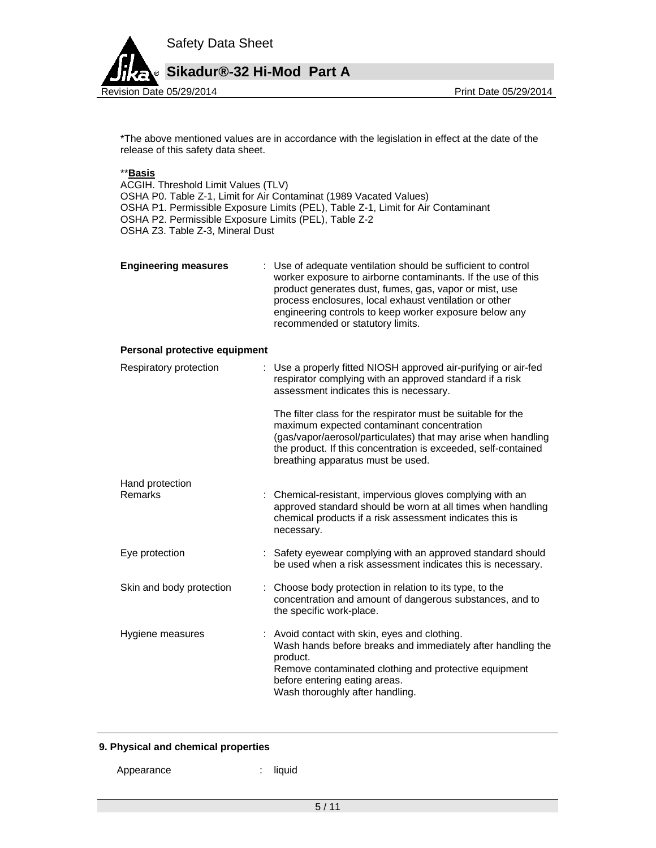

\*The above mentioned values are in accordance with the legislation in effect at the date of the release of this safety data sheet.

#### \*\***Basis**

ACGIH. Threshold Limit Values (TLV) OSHA P0. Table Z-1, Limit for Air Contaminat (1989 Vacated Values) OSHA P1. Permissible Exposure Limits (PEL), Table Z-1, Limit for Air Contaminant OSHA P2. Permissible Exposure Limits (PEL), Table Z-2 OSHA Z3. Table Z-3, Mineral Dust

| <b>Engineering measures</b> | : Use of adequate ventilation should be sufficient to control<br>worker exposure to airborne contaminants. If the use of this<br>product generates dust, fumes, gas, vapor or mist, use<br>process enclosures, local exhaust ventilation or other<br>engineering controls to keep worker exposure below any<br>recommended or statutory limits. |
|-----------------------------|-------------------------------------------------------------------------------------------------------------------------------------------------------------------------------------------------------------------------------------------------------------------------------------------------------------------------------------------------|
|                             |                                                                                                                                                                                                                                                                                                                                                 |

#### **Personal protective equipment**

| Respiratory protection   | : Use a properly fitted NIOSH approved air-purifying or air-fed<br>respirator complying with an approved standard if a risk<br>assessment indicates this is necessary.                                                                                                             |
|--------------------------|------------------------------------------------------------------------------------------------------------------------------------------------------------------------------------------------------------------------------------------------------------------------------------|
|                          | The filter class for the respirator must be suitable for the<br>maximum expected contaminant concentration<br>(gas/vapor/aerosol/particulates) that may arise when handling<br>the product. If this concentration is exceeded, self-contained<br>breathing apparatus must be used. |
| Hand protection          |                                                                                                                                                                                                                                                                                    |
| Remarks                  | : Chemical-resistant, impervious gloves complying with an<br>approved standard should be worn at all times when handling<br>chemical products if a risk assessment indicates this is<br>necessary.                                                                                 |
| Eye protection           | : Safety eyewear complying with an approved standard should<br>be used when a risk assessment indicates this is necessary.                                                                                                                                                         |
| Skin and body protection | : Choose body protection in relation to its type, to the<br>concentration and amount of dangerous substances, and to<br>the specific work-place.                                                                                                                                   |
| Hygiene measures         | : Avoid contact with skin, eyes and clothing.<br>Wash hands before breaks and immediately after handling the<br>product.<br>Remove contaminated clothing and protective equipment<br>before entering eating areas.<br>Wash thoroughly after handling.                              |

#### **9. Physical and chemical properties**

Appearance : liquid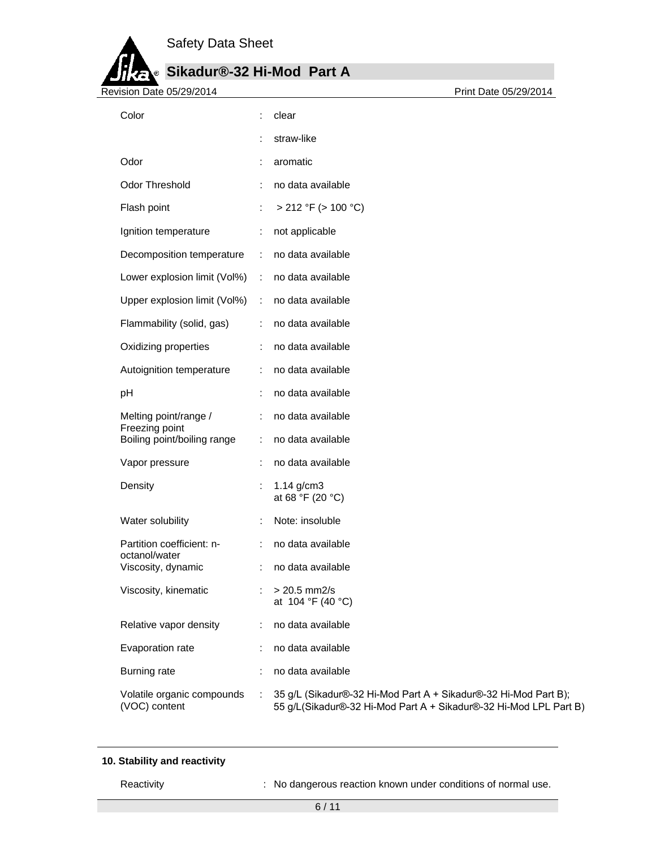# **Sikadur®-32 Hi-Mod Part A**

| Revision Date 05/29/2014                      |   | Print Date 05/29/2014                                                                                                                |
|-----------------------------------------------|---|--------------------------------------------------------------------------------------------------------------------------------------|
| Color                                         |   | clear                                                                                                                                |
|                                               |   | straw-like                                                                                                                           |
| Odor                                          |   | aromatic                                                                                                                             |
| Odor Threshold                                |   | no data available                                                                                                                    |
| Flash point                                   |   | $> 212$ °F ( $> 100$ °C)                                                                                                             |
| Ignition temperature                          | ÷ | not applicable                                                                                                                       |
| Decomposition temperature                     | ÷ | no data available                                                                                                                    |
| Lower explosion limit (Vol%)                  | ÷ | no data available                                                                                                                    |
| Upper explosion limit (Vol%)                  | ÷ | no data available                                                                                                                    |
| Flammability (solid, gas)                     |   | no data available                                                                                                                    |
| Oxidizing properties                          | ÷ | no data available                                                                                                                    |
| Autoignition temperature                      |   | no data available                                                                                                                    |
| pH                                            |   | no data available                                                                                                                    |
| Melting point/range /                         |   | no data available                                                                                                                    |
| Freezing point<br>Boiling point/boiling range | ÷ | no data available                                                                                                                    |
| Vapor pressure                                | ÷ | no data available                                                                                                                    |
| Density                                       |   | $1.14$ g/cm3<br>at 68 °F (20 °C)                                                                                                     |
| Water solubility                              |   | Note: insoluble                                                                                                                      |
| Partition coefficient: n-                     |   | no data available                                                                                                                    |
| octanol/water<br>Viscosity, dynamic           |   | no data available                                                                                                                    |
| Viscosity, kinematic                          |   | $> 20.5$ mm2/s<br>at 104 °F (40 °C)                                                                                                  |
| Relative vapor density                        | ÷ | no data available                                                                                                                    |
| Evaporation rate                              |   | no data available                                                                                                                    |
| <b>Burning rate</b>                           |   | no data available                                                                                                                    |
| Volatile organic compounds<br>(VOC) content   | ÷ | 35 g/L (Sikadur®-32 Hi-Mod Part A + Sikadur®-32 Hi-Mod Part B);<br>55 g/L(Sikadur®-32 Hi-Mod Part A + Sikadur®-32 Hi-Mod LPL Part B) |

### **10. Stability and reactivity**

Reactivity **Reactivity** : No dangerous reaction known under conditions of normal use.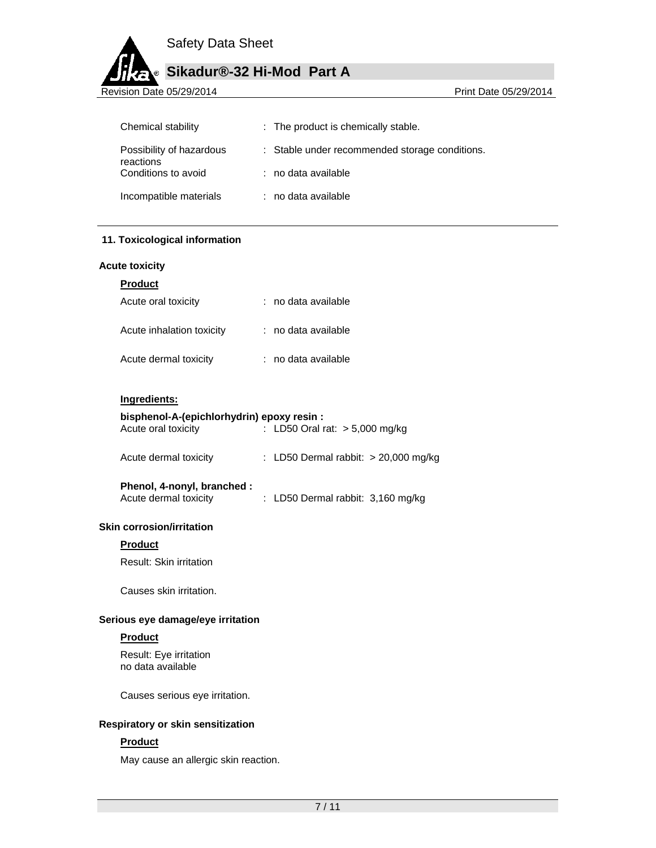# **Sikadur®-32 Hi-Mod Part A**

Revision Date 05/29/2014 **Revision Date 05/29/2014** 

| Chemical stability                    | : The product is chemically stable.            |
|---------------------------------------|------------------------------------------------|
| Possibility of hazardous<br>reactions | : Stable under recommended storage conditions. |
| Conditions to avoid                   | : no data available                            |
| Incompatible materials                | : no data available                            |

#### **11. Toxicological information**

#### **Acute toxicity**

| Acute oral toxicity       | : no data available |
|---------------------------|---------------------|
| Acute inhalation toxicity | : no data available |
| Acute dermal toxicity     | : no data available |

#### **Ingredients:**

#### **bisphenol-A-(epichlorhydrin) epoxy resin :**

| Acute oral toxicity | : LD50 Oral rat: $> 5,000$ mg/kg |  |
|---------------------|----------------------------------|--|
|                     |                                  |  |

| Acute dermal toxicity |  | : LD50 Dermal rabbit: > 20,000 mg/kg |  |  |
|-----------------------|--|--------------------------------------|--|--|
|-----------------------|--|--------------------------------------|--|--|

## **Phenol, 4-nonyl, branched :**

| Acute dermal toxicity | : LD50 Dermal rabbit: 3,160 mg/kg |  |
|-----------------------|-----------------------------------|--|
|-----------------------|-----------------------------------|--|

#### **Skin corrosion/irritation**

#### **Product**

Result: Skin irritation

Causes skin irritation.

#### **Serious eye damage/eye irritation**

#### **Product**

Result: Eye irritation no data available

Causes serious eye irritation.

#### **Respiratory or skin sensitization**

#### **Product**

May cause an allergic skin reaction.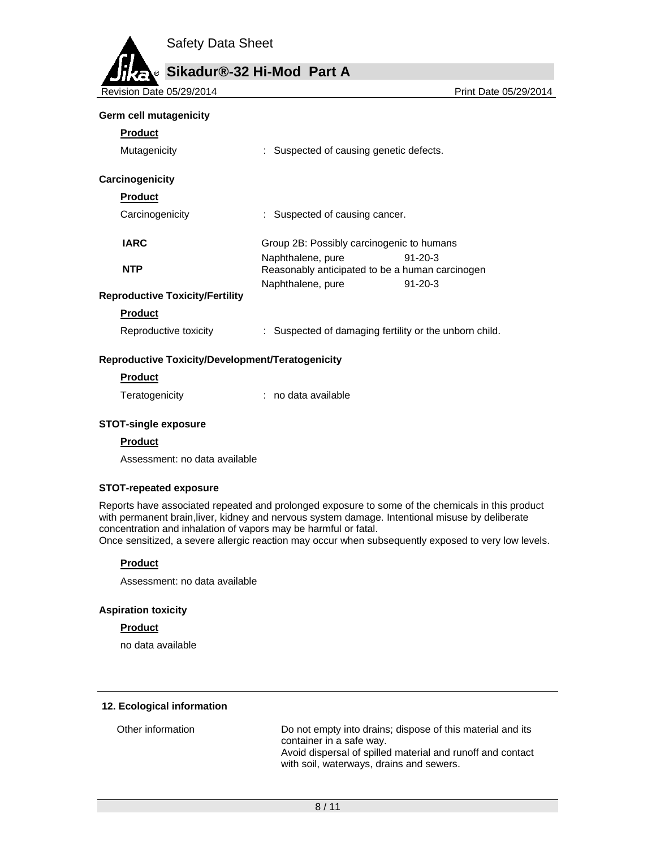

Revision Date 05/29/2014 **Print Date 05/29/2014** Print Date 05/29/2014

#### **Germ cell mutagenicity**

| Product |
|---------|
|---------|

| Mutagenicity                           | : Suspected of causing genetic defects.         |               |
|----------------------------------------|-------------------------------------------------|---------------|
| Carcinogenicity<br><b>Product</b>      |                                                 |               |
| Carcinogenicity                        | : Suspected of causing cancer.                  |               |
|                                        |                                                 |               |
| <b>IARC</b>                            | Group 2B: Possibly carcinogenic to humans       |               |
|                                        | Naphthalene, pure                               | $91 - 20 - 3$ |
| <b>NTP</b>                             | Reasonably anticipated to be a human carcinogen |               |
|                                        | Naphthalene, pure                               | $91 - 20 - 3$ |
| <b>Reproductive Toxicity/Fertility</b> |                                                 |               |
| Product                                |                                                 |               |

| Reproductive toxicity | Suspected of damaging fertility or the unborn child. |  |
|-----------------------|------------------------------------------------------|--|
|-----------------------|------------------------------------------------------|--|

#### **Reproductive Toxicity/Development/Teratogenicity**

#### **Product**

Teratogenicity : no data available

### **STOT-single exposure**

#### **Product**

Assessment: no data available

#### **STOT-repeated exposure**

Reports have associated repeated and prolonged exposure to some of the chemicals in this product with permanent brain,liver, kidney and nervous system damage. Intentional misuse by deliberate concentration and inhalation of vapors may be harmful or fatal. Once sensitized, a severe allergic reaction may occur when subsequently exposed to very low levels.

**Product** 

Assessment: no data available

#### **Aspiration toxicity**

#### **Product**

no data available

#### **12. Ecological information**

Other information Do not empty into drains; dispose of this material and its container in a safe way. Avoid dispersal of spilled material and runoff and contact with soil, waterways, drains and sewers.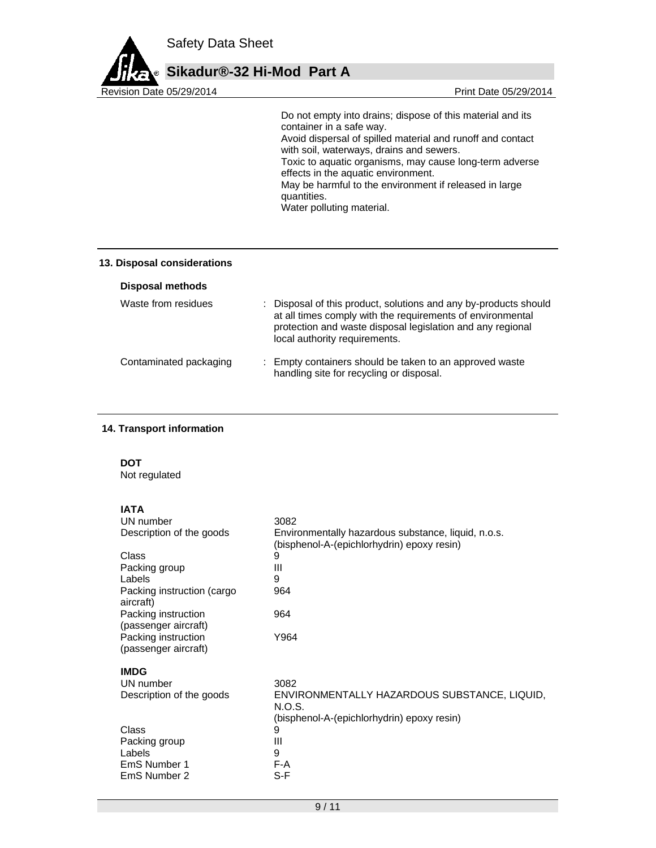

 Do not empty into drains; dispose of this material and its container in a safe way. Avoid dispersal of spilled material and runoff and contact with soil, waterways, drains and sewers. Toxic to aquatic organisms, may cause long-term adverse effects in the aquatic environment. May be harmful to the environment if released in large quantities. Water polluting material.

#### **13. Disposal considerations**

|  | <b>Disposal methods</b> |  |
|--|-------------------------|--|
|  |                         |  |

| Waste from residues    | : Disposal of this product, solutions and any by-products should<br>at all times comply with the requirements of environmental<br>protection and waste disposal legislation and any regional<br>local authority requirements. |
|------------------------|-------------------------------------------------------------------------------------------------------------------------------------------------------------------------------------------------------------------------------|
| Contaminated packaging | : Empty containers should be taken to an approved waste<br>handling site for recycling or disposal.                                                                                                                           |

#### **14. Transport information**

#### **DOT**

Not regulated

### **IATA**

| UN number                                   | 3082                                                   |
|---------------------------------------------|--------------------------------------------------------|
| Description of the goods                    | Environmentally hazardous substance, liquid, n.o.s.    |
|                                             | (bisphenol-A-(epichlorhydrin) epoxy resin)             |
| Class                                       | 9                                                      |
| Packing group                               | Ш                                                      |
| Labels                                      | 9                                                      |
| Packing instruction (cargo<br>aircraft)     | 964                                                    |
| Packing instruction<br>(passenger aircraft) | 964                                                    |
| Packing instruction                         | Y964                                                   |
| (passenger aircraft)                        |                                                        |
| <b>IMDG</b>                                 |                                                        |
| UN number                                   | 3082                                                   |
| Description of the goods                    | ENVIRONMENTALLY HAZARDOUS SUBSTANCE, LIQUID,<br>N.O.S. |
|                                             | (bisphenol-A-(epichlorhydrin) epoxy resin)             |
| Class                                       | 9                                                      |
| Packing group                               | Ш                                                      |
| Labels                                      | 9                                                      |
| EmS Number 1                                | F-A                                                    |
| EmS Number 2                                | S-F                                                    |
|                                             |                                                        |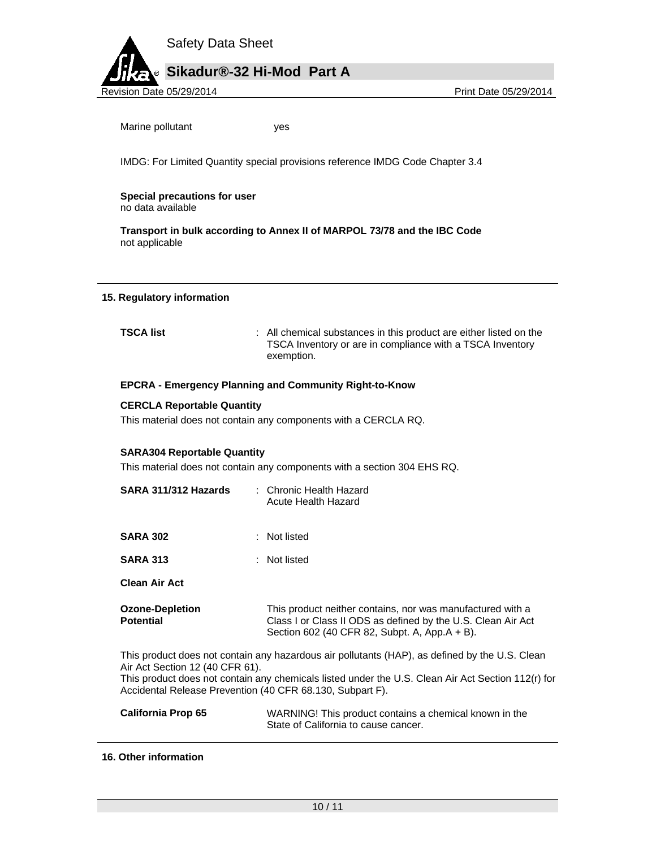

Marine pollutant ves

IMDG: For Limited Quantity special provisions reference IMDG Code Chapter 3.4

**Special precautions for user** no data available

**Transport in bulk according to Annex II of MARPOL 73/78 and the IBC Code**  not applicable

#### **15. Regulatory information**

**TSCA list interpretate in the substances in this product are either listed on the** TSCA Inventory or are in compliance with a TSCA Inventory exemption.

#### **EPCRA - Emergency Planning and Community Right-to-Know**

#### **CERCLA Reportable Quantity**

This material does not contain any components with a CERCLA RQ.

#### **SARA304 Reportable Quantity**

This material does not contain any components with a section 304 EHS RQ.

| SARA 311/312 Hazards                                                                         | : Chronic Health Hazard<br>Acute Health Hazard                                                                                                                                                       |
|----------------------------------------------------------------------------------------------|------------------------------------------------------------------------------------------------------------------------------------------------------------------------------------------------------|
| <b>SARA 302</b>                                                                              | : Not listed                                                                                                                                                                                         |
| <b>SARA 313</b>                                                                              | : Not listed                                                                                                                                                                                         |
| <b>Clean Air Act</b>                                                                         |                                                                                                                                                                                                      |
| <b>Ozone-Depletion</b><br><b>Potential</b>                                                   | This product neither contains, nor was manufactured with a<br>Class I or Class II ODS as defined by the U.S. Clean Air Act<br>Section 602 (40 CFR 82, Subpt. A, App. $A + B$ ).                      |
| Air Act Section 12 (40 CFR 61).<br>Accidental Release Prevention (40 CFR 68.130, Subpart F). | This product does not contain any hazardous air pollutants (HAP), as defined by the U.S. Clean<br>This product does not contain any chemicals listed under the U.S. Clean Air Act Section 112(r) for |

| <b>California Prop 65</b> | WARNING! This product contains a chemical known in the |
|---------------------------|--------------------------------------------------------|
|                           | State of California to cause cancer.                   |

#### **16. Other information**